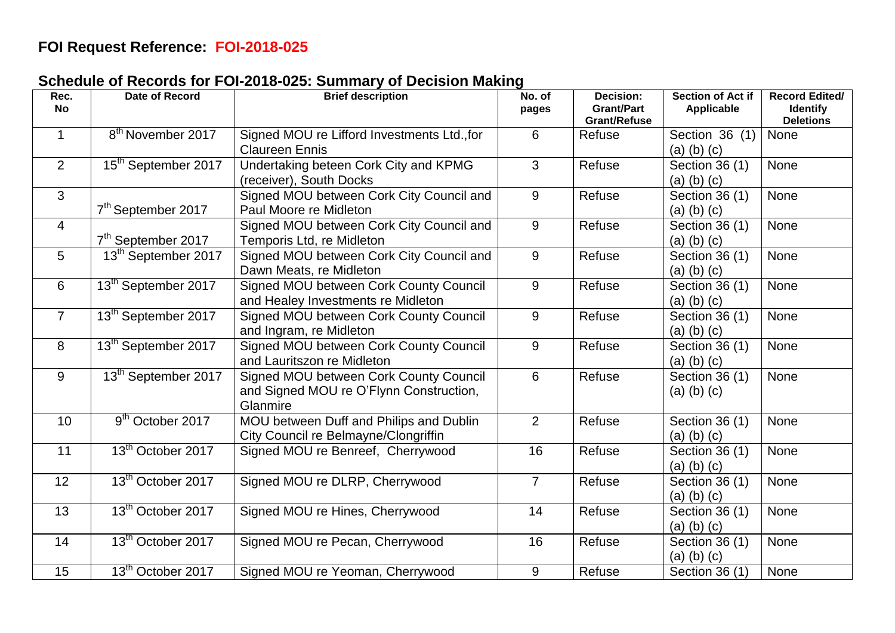## **FOI Request Reference: FOI-2018-025**

## **Schedule of Records for FOI-2018-025: Summary of Decision Making**

| Rec.<br><b>No</b> | Date of Record                  | <b>Brief description</b>                                                                      | No. of<br>pages | <b>Decision:</b><br><b>Grant/Part</b><br><b>Grant/Refuse</b> | Section of Act if<br>Applicable     | <b>Record Edited/</b><br><b>Identify</b><br><b>Deletions</b> |
|-------------------|---------------------------------|-----------------------------------------------------------------------------------------------|-----------------|--------------------------------------------------------------|-------------------------------------|--------------------------------------------------------------|
| $\mathbf 1$       | 8 <sup>th</sup> November 2017   | Signed MOU re Lifford Investments Ltd., for<br><b>Claureen Ennis</b>                          | 6               | Refuse                                                       | Section 36 (1)<br>$(a)$ $(b)$ $(c)$ | None                                                         |
| 2                 | 15 <sup>th</sup> September 2017 | Undertaking beteen Cork City and KPMG<br>(receiver), South Docks                              | 3               | Refuse                                                       | Section 36 (1)<br>$(a)$ $(b)$ $(c)$ | <b>None</b>                                                  |
| 3                 | 7 <sup>th</sup> September 2017  | Signed MOU between Cork City Council and<br>Paul Moore re Midleton                            | 9               | Refuse                                                       | Section 36 (1)<br>$(a)$ $(b)$ $(c)$ | <b>None</b>                                                  |
| $\overline{4}$    | 7 <sup>th</sup> September 2017  | Signed MOU between Cork City Council and<br>Temporis Ltd, re Midleton                         | 9               | Refuse                                                       | Section 36 (1)<br>$(a)$ $(b)$ $(c)$ | None                                                         |
| $5\phantom{.0}$   | 13 <sup>th</sup> September 2017 | Signed MOU between Cork City Council and<br>Dawn Meats, re Midleton                           | 9               | Refuse                                                       | Section 36 (1)<br>$(a)$ $(b)$ $(c)$ | <b>None</b>                                                  |
| 6                 | 13 <sup>th</sup> September 2017 | Signed MOU between Cork County Council<br>and Healey Investments re Midleton                  | 9               | Refuse                                                       | Section 36 (1)<br>$(a)$ $(b)$ $(c)$ | <b>None</b>                                                  |
| $\overline{7}$    | 13 <sup>th</sup> September 2017 | Signed MOU between Cork County Council<br>and Ingram, re Midleton                             | 9               | Refuse                                                       | Section 36 (1)<br>$(a)$ $(b)$ $(c)$ | None                                                         |
| 8                 | 13 <sup>th</sup> September 2017 | Signed MOU between Cork County Council<br>and Lauritszon re Midleton                          | 9               | Refuse                                                       | Section 36 (1)<br>$(a)$ $(b)$ $(c)$ | <b>None</b>                                                  |
| 9                 | 13 <sup>th</sup> September 2017 | Signed MOU between Cork County Council<br>and Signed MOU re O'Flynn Construction,<br>Glanmire | 6               | Refuse                                                       | Section 36 (1)<br>$(a)$ $(b)$ $(c)$ | <b>None</b>                                                  |
| 10                | 9 <sup>th</sup> October 2017    | MOU between Duff and Philips and Dublin<br>City Council re Belmayne/Clongriffin               | 2               | Refuse                                                       | Section 36 (1)<br>$(a)$ $(b)$ $(c)$ | <b>None</b>                                                  |
| 11                | 13 <sup>th</sup> October 2017   | Signed MOU re Benreef, Cherrywood                                                             | 16              | Refuse                                                       | Section 36 (1)<br>$(a)$ $(b)$ $(c)$ | <b>None</b>                                                  |
| 12                | 13 <sup>th</sup> October 2017   | Signed MOU re DLRP, Cherrywood                                                                | $\overline{7}$  | Refuse                                                       | Section 36 (1)<br>$(a)$ $(b)$ $(c)$ | <b>None</b>                                                  |
| 13                | 13 <sup>th</sup> October 2017   | Signed MOU re Hines, Cherrywood                                                               | 14              | Refuse                                                       | Section 36 (1)<br>$(a)$ $(b)$ $(c)$ | None                                                         |
| 14                | 13 <sup>th</sup> October 2017   | Signed MOU re Pecan, Cherrywood                                                               | 16              | Refuse                                                       | Section 36 (1)<br>$(a)$ $(b)$ $(c)$ | None                                                         |
| 15                | 13 <sup>th</sup> October 2017   | Signed MOU re Yeoman, Cherrywood                                                              | 9               | Refuse                                                       | Section 36 $(1)$                    | None                                                         |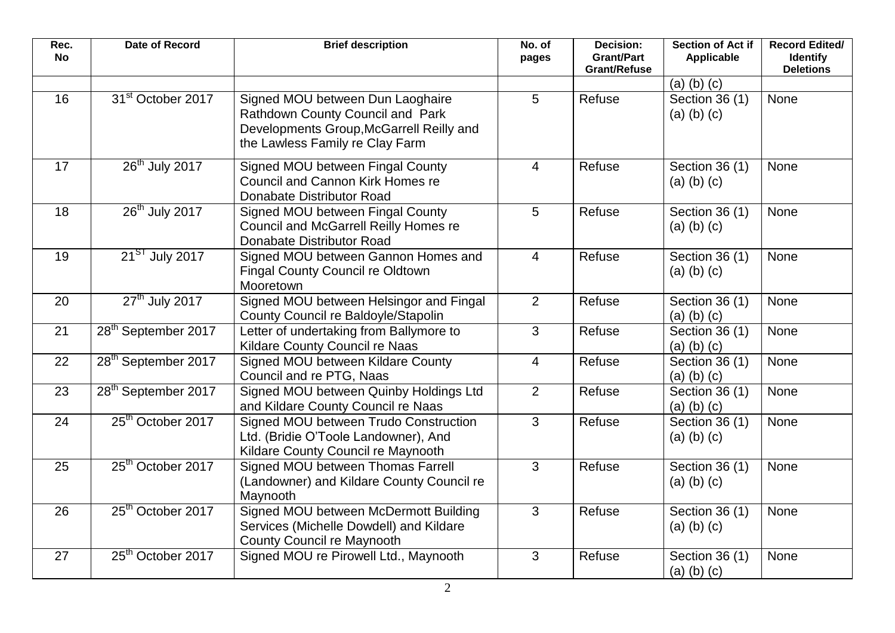| Rec.<br><b>No</b> | Date of Record                  | <b>Brief description</b>                                                                                                                            | No. of<br>pages | Decision:<br><b>Grant/Part</b><br><b>Grant/Refuse</b> | Section of Act if<br>Applicable     | <b>Record Edited/</b><br><b>Identify</b><br><b>Deletions</b> |
|-------------------|---------------------------------|-----------------------------------------------------------------------------------------------------------------------------------------------------|-----------------|-------------------------------------------------------|-------------------------------------|--------------------------------------------------------------|
|                   |                                 |                                                                                                                                                     |                 |                                                       | $(a)$ $(b)$ $(c)$                   |                                                              |
| 16                | 31 <sup>st</sup> October 2017   | Signed MOU between Dun Laoghaire<br>Rathdown County Council and Park<br>Developments Group, McGarrell Reilly and<br>the Lawless Family re Clay Farm | 5               | Refuse                                                | Section 36 (1)<br>$(a)$ $(b)$ $(c)$ | None                                                         |
| 17                | $26th$ July 2017                | Signed MOU between Fingal County<br>Council and Cannon Kirk Homes re<br>Donabate Distributor Road                                                   | $\overline{4}$  | Refuse                                                | Section 36 (1)<br>$(a)$ $(b)$ $(c)$ | None                                                         |
| 18                | 26 <sup>th</sup> July 2017      | Signed MOU between Fingal County<br>Council and McGarrell Reilly Homes re<br>Donabate Distributor Road                                              | 5               | Refuse                                                | Section 36 (1)<br>$(a)$ $(b)$ $(c)$ | <b>None</b>                                                  |
| 19                | 21 <sup>ST</sup> July 2017      | Signed MOU between Gannon Homes and<br><b>Fingal County Council re Oldtown</b><br>Mooretown                                                         | $\overline{4}$  | Refuse                                                | Section 36 (1)<br>$(a)$ $(b)$ $(c)$ | None                                                         |
| 20                | $27th$ July 2017                | Signed MOU between Helsingor and Fingal<br>County Council re Baldoyle/Stapolin                                                                      | 2               | Refuse                                                | Section 36 (1)<br>$(a)$ $(b)$ $(c)$ | None                                                         |
| 21                | 28 <sup>th</sup> September 2017 | Letter of undertaking from Ballymore to<br>Kildare County Council re Naas                                                                           | 3               | Refuse                                                | Section 36 (1)<br>$(a)$ $(b)$ $(c)$ | None                                                         |
| 22                | 28 <sup>th</sup> September 2017 | Signed MOU between Kildare County<br>Council and re PTG, Naas                                                                                       | $\overline{4}$  | Refuse                                                | Section 36 (1)<br>$(a)$ $(b)$ $(c)$ | <b>None</b>                                                  |
| 23                | 28 <sup>th</sup> September 2017 | Signed MOU between Quinby Holdings Ltd<br>and Kildare County Council re Naas                                                                        | $\overline{2}$  | Refuse                                                | Section 36 (1)<br>$(a)$ $(b)$ $(c)$ | None                                                         |
| 24                | 25 <sup>th</sup> October 2017   | Signed MOU between Trudo Construction<br>Ltd. (Bridie O'Toole Landowner), And<br>Kildare County Council re Maynooth                                 | 3               | Refuse                                                | Section 36 (1)<br>$(a)$ $(b)$ $(c)$ | <b>None</b>                                                  |
| 25                | 25 <sup>th</sup> October 2017   | Signed MOU between Thomas Farrell<br>(Landowner) and Kildare County Council re<br>Maynooth                                                          | 3               | Refuse                                                | Section 36 (1)<br>$(a)$ $(b)$ $(c)$ | None                                                         |
| 26                | 25 <sup>th</sup> October 2017   | Signed MOU between McDermott Building<br>Services (Michelle Dowdell) and Kildare<br><b>County Council re Maynooth</b>                               | 3               | Refuse                                                | Section 36 (1)<br>$(a)$ $(b)$ $(c)$ | None                                                         |
| 27                | 25 <sup>th</sup> October 2017   | Signed MOU re Pirowell Ltd., Maynooth                                                                                                               | 3               | Refuse                                                | Section 36 (1)<br>$(a)$ $(b)$ $(c)$ | None                                                         |